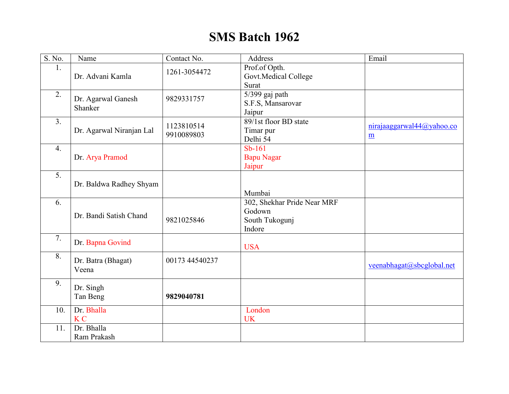## **SMS Batch 1962**

| $\overline{S}$ . No. | Name                     | Contact No.    | Address                         | Email                     |
|----------------------|--------------------------|----------------|---------------------------------|---------------------------|
| 1.                   |                          |                | Prof.of Opth.                   |                           |
|                      | Dr. Advani Kamla         | 1261-3054472   | Govt.Medical College            |                           |
|                      |                          |                | Surat                           |                           |
| 2.                   |                          |                | 5/399 gaj path                  |                           |
|                      | Dr. Agarwal Ganesh       | 9829331757     |                                 |                           |
|                      | Shanker                  |                | S.F.S, Mansarovar               |                           |
| 3 <sub>1</sub>       |                          |                | Jaipur<br>89/1st floor BD state |                           |
|                      |                          | 1123810514     |                                 | nirajaaggarwal44@yahoo.co |
|                      | Dr. Agarwal Niranjan Lal | 9910089803     | Timar pur                       | m                         |
|                      |                          |                | Delhi 54                        |                           |
| $\overline{4}$ .     |                          |                | $Sb-161$                        |                           |
|                      | Dr. Arya Pramod          |                | <b>Bapu Nagar</b>               |                           |
|                      |                          |                | Jaipur                          |                           |
| $\overline{5}$ .     |                          |                |                                 |                           |
|                      | Dr. Baldwa Radhey Shyam  |                |                                 |                           |
|                      |                          |                | Mumbai                          |                           |
| 6.                   |                          |                | 302, Shekhar Pride Near MRF     |                           |
|                      | Dr. Bandi Satish Chand   |                | Godown                          |                           |
|                      |                          | 9821025846     | South Tukogunj                  |                           |
|                      |                          |                | Indore                          |                           |
| 7.                   | Dr. Bapna Govind         |                |                                 |                           |
|                      |                          |                | <b>USA</b>                      |                           |
| 8.                   |                          | 00173 44540237 |                                 |                           |
|                      | Dr. Batra (Bhagat)       |                |                                 | veenabhagat@sbcglobal.net |
|                      | Veena                    |                |                                 |                           |
| 9.                   |                          |                |                                 |                           |
|                      | Dr. Singh                |                |                                 |                           |
|                      | Tan Beng                 | 9829040781     |                                 |                           |
| 10.                  | Dr. Bhalla               |                | London                          |                           |
|                      | K <sub>C</sub>           |                | <b>UK</b>                       |                           |
| 11.                  | Dr. Bhalla               |                |                                 |                           |
|                      | Ram Prakash              |                |                                 |                           |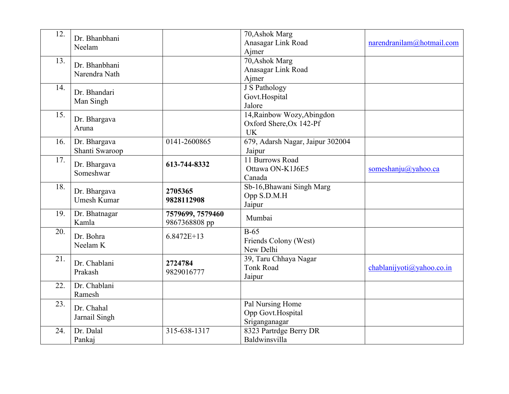| 12. | Dr. Bhanbhani<br>Neelam            |                                   | 70, Ashok Marg<br>Anasagar Link Road<br>Ajmer                      | $n$ arendranilam $\omega$ hotmail.com |
|-----|------------------------------------|-----------------------------------|--------------------------------------------------------------------|---------------------------------------|
| 13. | Dr. Bhanbhani<br>Narendra Nath     |                                   | 70, Ashok Marg<br>Anasagar Link Road<br>Ajmer                      |                                       |
| 14. | Dr. Bhandari<br>Man Singh          |                                   | <b>J</b> S Pathology<br>Govt.Hospital<br>Jalore                    |                                       |
| 15. | Dr. Bhargava<br>Aruna              |                                   | 14, Rainbow Wozy, Abingdon<br>Oxford Shere, Ox 142-Pf<br><b>UK</b> |                                       |
| 16. | Dr. Bhargava<br>Shanti Swaroop     | 0141-2600865                      | 679, Adarsh Nagar, Jaipur 302004<br>Jaipur                         |                                       |
| 17. | Dr. Bhargava<br>Someshwar          | 613-744-8332                      | 11 Burrows Road<br>Ottawa ON-K1J6E5<br>Canada                      | someshanju@yahoo.ca                   |
| 18. | Dr. Bhargava<br><b>Umesh Kumar</b> | 2705365<br>9828112908             | Sb-16, Bhawani Singh Marg<br>Opp S.D.M.H<br>Jaipur                 |                                       |
| 19. | Dr. Bhatnagar<br>Kamla             | 7579699, 7579460<br>9867368808 pp | Mumbai                                                             |                                       |
| 20. | Dr. Bohra<br>Neelam K              | $6.8472E+13$                      | $B-65$<br>Friends Colony (West)<br>New Delhi                       |                                       |
| 21. | Dr. Chablani<br>Prakash            | 2724784<br>9829016777             | 39, Taru Chhaya Nagar<br><b>Tonk Road</b><br>Jaipur                | chablanijyoti@yahoo.co.in             |
| 22. | Dr. Chablani<br>Ramesh             |                                   |                                                                    |                                       |
| 23. | Dr. Chahal<br>Jarnail Singh        |                                   | Pal Nursing Home<br>Opp Govt.Hospital<br>Sriganganagar             |                                       |
| 24. | Dr. Dalal<br>Pankaj                | 315-638-1317                      | 8323 Partrdge Berry DR<br>Baldwinsvilla                            |                                       |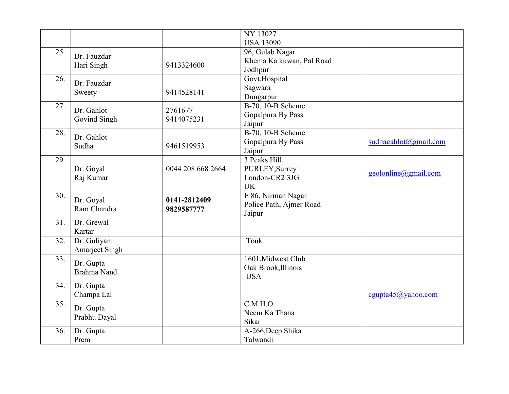|     |                       |                   | <b>NY 13027</b>          |                                  |
|-----|-----------------------|-------------------|--------------------------|----------------------------------|
|     |                       |                   | <b>USA 13090</b>         |                                  |
| 25. | Dr. Fauzdar           |                   | 96, Gulab Nagar          |                                  |
|     | Hari Singh            | 9413324600        | Khema Ka kuwan, Pal Road |                                  |
|     |                       |                   | Jodhpur                  |                                  |
| 26. | Dr. Fauzdar           |                   | Govt.Hospital            |                                  |
|     |                       | 9414528141        | Sagwara                  |                                  |
|     | Sweety                |                   | Dungarpur                |                                  |
| 27. |                       |                   | B-70, 10-B Scheme        |                                  |
|     | Dr. Gahlot            | 2761677           | Gopalpura By Pass        |                                  |
|     | Govind Singh          | 9414075231        | Jaipur                   |                                  |
| 28. |                       |                   | B-70, 10-B Scheme        |                                  |
|     | Dr. Gahlot            |                   | Gopalpura By Pass        | sudhagahlot@gmail.com            |
|     | Sudha                 | 9461519953        | Jaipur                   |                                  |
| 29. |                       |                   | 3 Peaks Hill             |                                  |
|     | Dr. Goyal             | 0044 208 668 2664 | PURLEY, Surrey           |                                  |
|     | Raj Kumar             |                   | London-CR2 3JG           | $geolonline(\partial gmail.com)$ |
|     |                       |                   | <b>UK</b>                |                                  |
| 30. |                       |                   | E 86, Nirman Nagar       |                                  |
|     | Dr. Goyal             | 0141-2812409      | Police Path, Ajmer Road  |                                  |
|     | Ram Chandra           | 9829587777        | Jaipur                   |                                  |
| 31. | Dr. Grewal            |                   |                          |                                  |
|     | Kartar                |                   |                          |                                  |
| 32. | Dr. Guliyani          |                   | Tonk                     |                                  |
|     | <b>Amarjeet Singh</b> |                   |                          |                                  |
| 33. |                       |                   | 1601, Midwest Club       |                                  |
|     | Dr. Gupta             |                   | Oak Brook, Illinois      |                                  |
|     | <b>Brahma Nand</b>    |                   | <b>USA</b>               |                                  |
| 34. | Dr. Gupta             |                   |                          |                                  |
|     | Champa Lal            |                   |                          | cgupta $45@$ yahoo.com           |
| 35. |                       |                   | C.M.H.O                  |                                  |
|     | Dr. Gupta             |                   | Neem Ka Thana            |                                  |
|     | Prabhu Dayal          |                   | Sikar                    |                                  |
| 36. | Dr. Gupta             |                   | A-266, Deep Shika        |                                  |
|     | Prem                  |                   | Talwandi                 |                                  |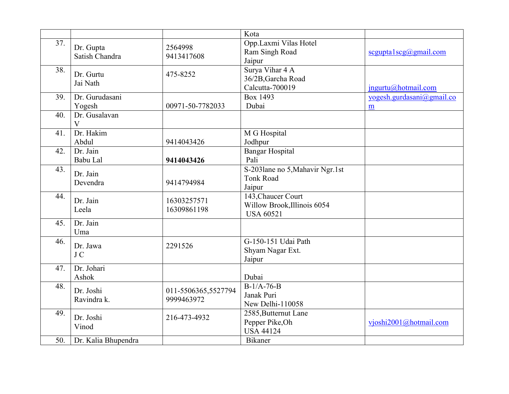|     |                               |                                   | Kota                                                                  |                           |
|-----|-------------------------------|-----------------------------------|-----------------------------------------------------------------------|---------------------------|
| 37. | Dr. Gupta<br>Satish Chandra   | 2564998<br>9413417608             | Opp.Laxmi Vilas Hotel<br>Ram Singh Road<br>Jaipur                     | segupta1scg(a)gmail.com   |
| 38. | Dr. Gurtu<br>Jai Nath         | 475-8252                          | Surya Vihar 4 A<br>36/2B, Garcha Road<br>Calcutta-700019              | $in$ gurtu@hotmail.com    |
| 39. | Dr. Gurudasani                |                                   | Box 1493                                                              | yogesh.gurdasani@gmail.co |
|     | Yogesh                        | 00971-50-7782033                  | Dubai                                                                 | m                         |
| 40. | Dr. Gusalavan<br>$\mathbf{V}$ |                                   |                                                                       |                           |
| 41. | Dr. Hakim<br>Abdul            | 9414043426                        | M G Hospital<br>Jodhpur                                               |                           |
| 42. | Dr. Jain<br>Babu Lal          | 9414043426                        | <b>Bangar Hospital</b><br>Pali                                        |                           |
| 43. | Dr. Jain<br>Devendra          | 9414794984                        | S-2031ane no 5, Mahavir Ngr.1st<br>Tonk Road<br>Jaipur                |                           |
| 44. | Dr. Jain<br>Leela             | 16303257571<br>16309861198        | 143, Chaucer Court<br>Willow Brook, Illinois 6054<br><b>USA 60521</b> |                           |
| 45. | Dr. Jain<br>Uma               |                                   |                                                                       |                           |
| 46. | Dr. Jawa<br>J C               | 2291526                           | G-150-151 Udai Path<br>Shyam Nagar Ext.<br>Jaipur                     |                           |
| 47. | Dr. Johari<br>Ashok           |                                   | Dubai                                                                 |                           |
| 48. | Dr. Joshi<br>Ravindra k.      | 011-5506365,5527794<br>9999463972 | $B-1/A-76-B$<br>Janak Puri<br>New Delhi-110058                        |                           |
| 49. | Dr. Joshi<br>Vinod            | 216-473-4932                      | 2585, Butternut Lane<br>Pepper Pike, Oh<br><b>USA 44124</b>           | vjoshi2001@hotmail.com    |
| 50. | Dr. Kalia Bhupendra           |                                   | Bikaner                                                               |                           |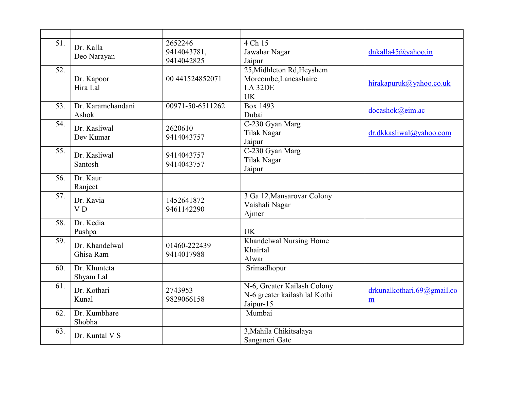| 51. | Dr. Kalla<br>Deo Narayan    | 2652246<br>9414043781,<br>9414042825 | $4 Ch$ 15<br>Jawahar Nagar<br>Jaipur                                                  | dnkalla $45$ @yahoo.in              |
|-----|-----------------------------|--------------------------------------|---------------------------------------------------------------------------------------|-------------------------------------|
| 52. | Dr. Kapoor<br>Hira Lal      | 00 441524852071                      | 25, Midhleton Rd, Heyshem<br>Morcombe, Lancashaire<br>LA <sub>32DE</sub><br><b>UK</b> | hirakapuruk@yahoo.co.uk             |
| 53. | Dr. Karamchandani<br>Ashok  | 00971-50-6511262                     | Box 1493<br>Dubai                                                                     | docashok@eim.ac                     |
| 54. | Dr. Kasliwal<br>Dev Kumar   | 2620610<br>9414043757                | C-230 Gyan Marg<br><b>Tilak Nagar</b><br>Jaipur                                       | dr.dkkasliwal@yahoo.com             |
| 55. | Dr. Kasliwal<br>Santosh     | 9414043757<br>9414043757             | C-230 Gyan Marg<br>Tilak Nagar<br>Jaipur                                              |                                     |
| 56. | Dr. Kaur<br>Ranjeet         |                                      |                                                                                       |                                     |
| 57. | Dr. Kavia<br>V <sub>D</sub> | 1452641872<br>9461142290             | 3 Ga 12, Mansarovar Colony<br>Vaishali Nagar<br>Ajmer                                 |                                     |
| 58. | Dr. Kedia<br>Pushpa         |                                      | <b>UK</b>                                                                             |                                     |
| 59. | Dr. Khandelwal<br>Ghisa Ram | 01460-222439<br>9414017988           | Khandelwal Nursing Home<br>Khairtal<br>Alwar                                          |                                     |
| 60. | Dr. Khunteta<br>Shyam Lal   |                                      | Srimadhopur                                                                           |                                     |
| 61. | Dr. Kothari<br>Kunal        | 2743953<br>9829066158                | N-6, Greater Kailash Colony<br>N-6 greater kailash lal Kothi<br>Jaipur-15             | drkunalkothari. $69$ @gmail.co<br>m |
| 62. | Dr. Kumbhare<br>Shobha      |                                      | Mumbai                                                                                |                                     |
| 63. | Dr. Kuntal V S              |                                      | 3, Mahila Chikitsalaya<br>Sanganeri Gate                                              |                                     |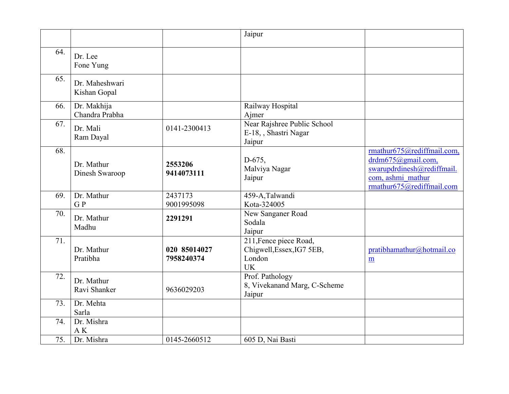|     |                                |                            | Jaipur                                                                     |                                                                                                                                      |
|-----|--------------------------------|----------------------------|----------------------------------------------------------------------------|--------------------------------------------------------------------------------------------------------------------------------------|
| 64. | Dr. Lee<br>Fone Yung           |                            |                                                                            |                                                                                                                                      |
| 65. | Dr. Maheshwari<br>Kishan Gopal |                            |                                                                            |                                                                                                                                      |
| 66. | Dr. Makhija<br>Chandra Prabha  |                            | Railway Hospital<br>Ajmer                                                  |                                                                                                                                      |
| 67. | Dr. Mali<br>Ram Dayal          | 0141-2300413               | Near Rajshree Public School<br>E-18, , Shastri Nagar<br>Jaipur             |                                                                                                                                      |
| 68. | Dr. Mathur<br>Dinesh Swaroop   | 2553206<br>9414073111      | $D-675,$<br>Malviya Nagar<br>Jaipur                                        | rmathur675@rediffmail.com,<br>$drdm675$ (@gmail.com,<br>swarupdrdinesh@rediffmail.<br>com, ashmi mathur<br>rmathur675@rediffmail.com |
| 69. | Dr. Mathur<br>GP               | 2437173<br>9001995098      | 459-A, Talwandi<br>Kota-324005                                             |                                                                                                                                      |
| 70. | Dr. Mathur<br>Madhu            | 2291291                    | New Sanganer Road<br>Sodala<br>Jaipur                                      |                                                                                                                                      |
| 71. | Dr. Mathur<br>Pratibha         | 020 85014027<br>7958240374 | 211, Fence piece Road,<br>Chigwell, Essex, IG7 5EB,<br>London<br><b>UK</b> | pratibhamathur@hotmail.co<br>$\underline{m}$                                                                                         |
| 72. | Dr. Mathur<br>Ravi Shanker     | 9636029203                 | Prof. Pathology<br>8, Vivekanand Marg, C-Scheme<br>Jaipur                  |                                                                                                                                      |
| 73. | Dr. Mehta<br>Sarla             |                            |                                                                            |                                                                                                                                      |
| 74. | Dr. Mishra<br>A K              |                            |                                                                            |                                                                                                                                      |
| 75. | Dr. Mishra                     | 0145-2660512               | 605 D, Nai Basti                                                           |                                                                                                                                      |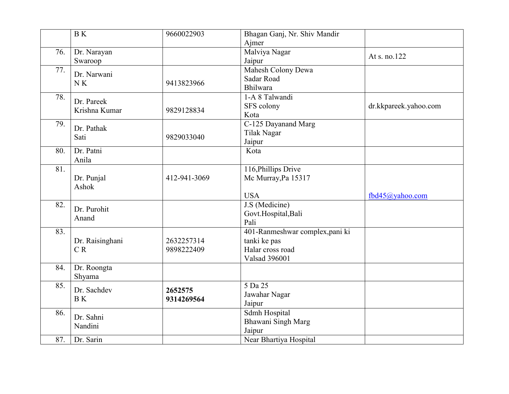|     | $\overline{B K}$         | 9660022903   | Bhagan Ganj, Nr. Shiv Mandir    |                       |
|-----|--------------------------|--------------|---------------------------------|-----------------------|
| 76. | Dr. Narayan              |              | Ajmer<br>Malviya Nagar          | At s. no.122          |
|     | Swaroop                  |              | Jaipur                          |                       |
| 77. | Dr. Narwani              |              | Mahesh Colony Dewa              |                       |
|     | N K                      | 9413823966   | Sadar Road                      |                       |
|     |                          |              | Bhilwara                        |                       |
| 78. | Dr. Pareek               |              | 1-A 8 Talwandi                  |                       |
|     | Krishna Kumar            | 9829128834   | SFS colony                      | dr.kkpareek.yahoo.com |
|     |                          |              | Kota                            |                       |
| 79. | Dr. Pathak               |              | C-125 Dayanand Marg             |                       |
|     | Sati                     | 9829033040   | Tilak Nagar                     |                       |
|     |                          |              | Jaipur                          |                       |
| 80. | Dr. Patni                |              | Kota                            |                       |
|     | Anila                    |              |                                 |                       |
| 81. |                          |              | 116, Phillips Drive             |                       |
|     | Dr. Punjal               | 412-941-3069 | Mc Murray, Pa 15317             |                       |
|     | Ashok                    |              |                                 |                       |
|     |                          |              | <b>USA</b>                      | fbd45@yahoo.com       |
| 82. | Dr. Purohit              |              | J.S (Medicine)                  |                       |
|     |                          |              | Govt.Hospital, Bali             |                       |
|     | Anand                    |              | Pali                            |                       |
| 83. |                          |              | 401-Ranmeshwar complex, pani ki |                       |
|     | Dr. Raisinghani          | 2632257314   | tanki ke pas                    |                       |
|     | CR                       | 9898222409   | Halar cross road                |                       |
|     |                          |              | <b>Valsad 396001</b>            |                       |
| 84. | Dr. Roongta              |              |                                 |                       |
|     | Shyama                   |              |                                 |                       |
| 85. |                          |              | $5$ Da $25$                     |                       |
|     | Dr. Sachdev<br><b>BK</b> | 2652575      | Jawahar Nagar                   |                       |
|     |                          | 9314269564   | Jaipur                          |                       |
| 86. |                          |              | Sdmh Hospital                   |                       |
|     | Dr. Sahni                |              | Bhawani Singh Marg              |                       |
|     | Nandini                  |              | Jaipur                          |                       |
| 87. | Dr. Sarin                |              | Near Bhartiya Hospital          |                       |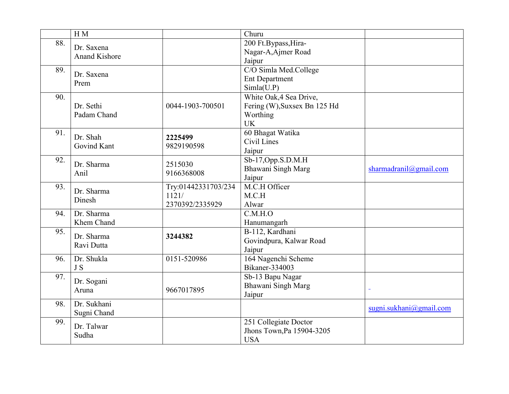|     | H M                                |                                                 | $\overline{\text{Churu}}$                                                        |                         |
|-----|------------------------------------|-------------------------------------------------|----------------------------------------------------------------------------------|-------------------------|
| 88. | Dr. Saxena<br><b>Anand Kishore</b> |                                                 | 200 Ft.Bypass, Hira-<br>Nagar-A, Ajmer Road<br>Jaipur                            |                         |
| 89. | Dr. Saxena<br>Prem                 |                                                 | C/O Simla Med.College<br><b>Ent Department</b><br>Simla(U.P)                     |                         |
| 90. | Dr. Sethi<br>Padam Chand           | 0044-1903-700501                                | White Oak, 4 Sea Drive,<br>Fering (W), Suxsex Bn 125 Hd<br>Worthing<br><b>UK</b> |                         |
| 91. | Dr. Shah<br>Govind Kant            | 2225499<br>9829190598                           | 60 Bhagat Watika<br>Civil Lines<br>Jaipur                                        |                         |
| 92. | Dr. Sharma<br>Anil                 | 2515030<br>9166368008                           | $Sb-17,$ Opp.S.D.M.H<br>Bhawani Singh Marg<br>Jaipur                             | sharmadranil@gmail.com  |
| 93. | Dr. Sharma<br>Dinesh               | Try:01442331703/234<br>1121/<br>2370392/2335929 | M.C.H Officer<br>M.C.H<br>Alwar                                                  |                         |
| 94. | Dr. Sharma<br>Khem Chand           |                                                 | $\overline{C.M.H.O}$<br>Hanumangarh                                              |                         |
| 95. | Dr. Sharma<br>Ravi Dutta           | 3244382                                         | B-112, Kardhani<br>Govindpura, Kalwar Road<br>Jaipur                             |                         |
| 96. | Dr. Shukla<br>J S                  | 0151-520986                                     | 164 Nagenchi Scheme<br><b>Bikaner-334003</b>                                     |                         |
| 97. | Dr. Sogani<br>Aruna                | 9667017895                                      | Sb-13 Bapu Nagar<br>Bhawani Singh Marg<br>Jaipur                                 |                         |
| 98. | Dr. Sukhani<br>Sugni Chand         |                                                 |                                                                                  | sugni.sukhani@gmail.com |
| 99. | Dr. Talwar<br>Sudha                |                                                 | 251 Collegiate Doctor<br>Jhons Town, Pa 15904-3205<br><b>USA</b>                 |                         |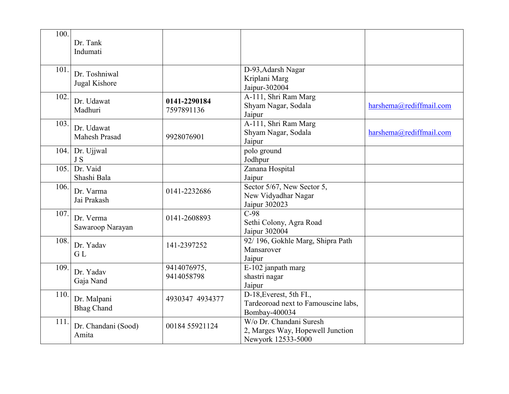| 100. | Dr. Tank<br>Indumati               |                            |                                                                                   |                         |
|------|------------------------------------|----------------------------|-----------------------------------------------------------------------------------|-------------------------|
| 101. | Dr. Toshniwal<br>Jugal Kishore     |                            | D-93, Adarsh Nagar<br>Kriplani Marg<br>Jaipur-302004                              |                         |
| 102. | Dr. Udawat<br>Madhuri              | 0141-2290184<br>7597891136 | A-111, Shri Ram Marg<br>Shyam Nagar, Sodala<br>Jaipur                             | harshema@rediffmail.com |
| 103. | Dr. Udawat<br><b>Mahesh Prasad</b> | 9928076901                 | A-111, Shri Ram Marg<br>Shyam Nagar, Sodala<br>Jaipur                             | harshema@rediffmail.com |
| 104. | Dr. Ujjwal<br>J S                  |                            | polo ground<br>Jodhpur                                                            |                         |
| 105. | Dr. Vaid<br>Shashi Bala            |                            | Zanana Hospital<br>Jaipur                                                         |                         |
| 106. | Dr. Varma<br>Jai Prakash           | 0141-2232686               | Sector 5/67, New Sector 5,<br>New Vidyadhar Nagar<br>Jaipur 302023                |                         |
| 107. | Dr. Verma<br>Sawaroop Narayan      | 0141-2608893               | $\overline{C-98}$<br>Sethi Colony, Agra Road<br>Jaipur 302004                     |                         |
| 108. | Dr. Yadav<br>GL                    | 141-2397252                | 92/196, Gokhle Marg, Shipra Path<br>Mansarover<br>Jaipur                          |                         |
| 109. | Dr. Yadav<br>Gaja Nand             | 9414076975,<br>9414058798  | E-102 janpath marg<br>shastri nagar<br>Jaipur                                     |                         |
| 110. | Dr. Malpani<br><b>Bhag Chand</b>   | 4930347 4934377            | D-18, Everest, 5th FI.,<br>Tardeoroad next to Famouscine labs,<br>Bombay-400034   |                         |
| 111. | Dr. Chandani (Sood)<br>Amita       | 00184 55921124             | W/o Dr. Chandani Suresh<br>2, Marges Way, Hopewell Junction<br>Newyork 12533-5000 |                         |